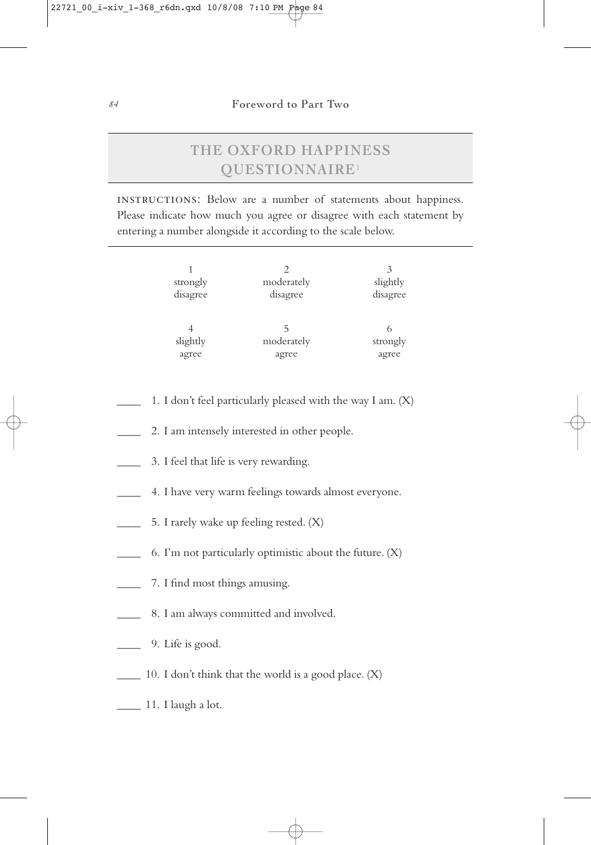## **THE OXFORD HAPPINESS QUESTIONNAIRE**<sup>1</sup>

instructions: Below are a number of statements about happiness. Please indicate how much you agree or disagree with each statement by entering a number alongside it according to the scale below.

| strongly<br>disagree | moderately<br>disagree | 3<br>slightly<br>disagree |
|----------------------|------------------------|---------------------------|
| slightly             | moderately             | strongly                  |
| agree                | agree                  | agree                     |

- 1. I don't feel particularly pleased with the way I am. (X)
- 2. I am intensely interested in other people.
- 3. I feel that life is very rewarding.
- \_\_\_\_ 4. I have very warm feelings towards almost everyone.
- 5. I rarely wake up feeling rested. (X)
- 6. I'm not particularly optimistic about the future.  $(X)$
- 7. I find most things amusing.
- \_\_\_\_ 8. I am always committed and involved.
- \_\_\_\_ 9. Life is good.
- \_\_\_\_ 10. I don't think that the world is a good place. (X)
- $\frac{1}{11}$ . I laugh a lot.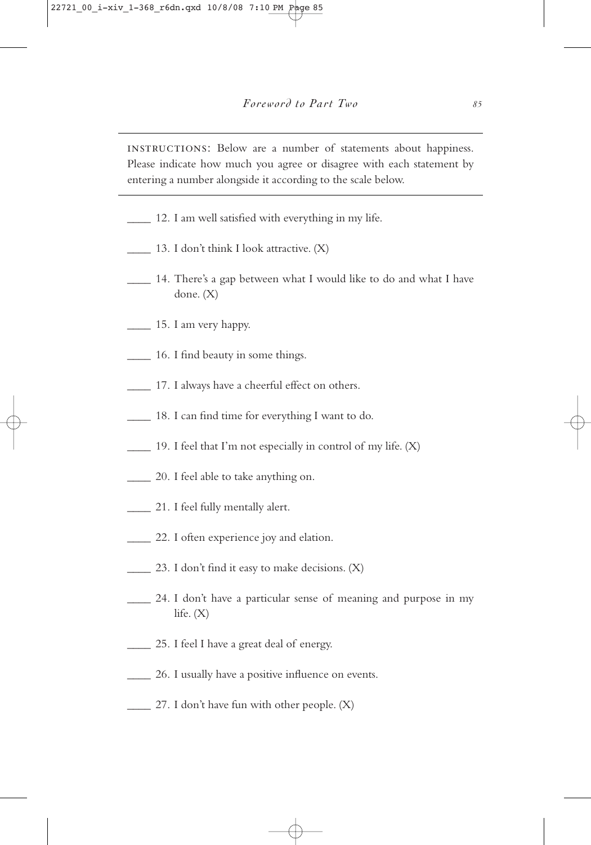instructions: Below are a number of statements about happiness. Please indicate how much you agree or disagree with each statement by entering a number alongside it according to the scale below.

- \_\_\_\_ 12. I am well satisfied with everything in my life.
- \_\_\_\_ 13. I don't think I look attractive. (X)
- \_\_\_\_ 14. There's a gap between what I would like to do and what I have done. (X)
- $\frac{15. \text{ I am very happy.}}{}$
- \_\_\_\_ 16. I find beauty in some things.
- 17. I always have a cheerful effect on others.
- \_\_\_\_ 18. I can find time for everything I want to do.
- $\Box$  19. I feel that I'm not especially in control of my life.  $(X)$
- \_\_\_\_ 20. I feel able to take anything on.
- \_\_\_\_ 21. I feel fully mentally alert.
- 22. I often experience joy and elation.
- 23. I don't find it easy to make decisions.  $(X)$
- \_\_\_\_ 24. I don't have a particular sense of meaning and purpose in my life.  $(X)$
- \_\_\_\_ 25. I feel I have a great deal of energy.
- \_\_\_\_ 26. I usually have a positive influence on events.
- \_\_\_\_ 27. I don't have fun with other people. (X)